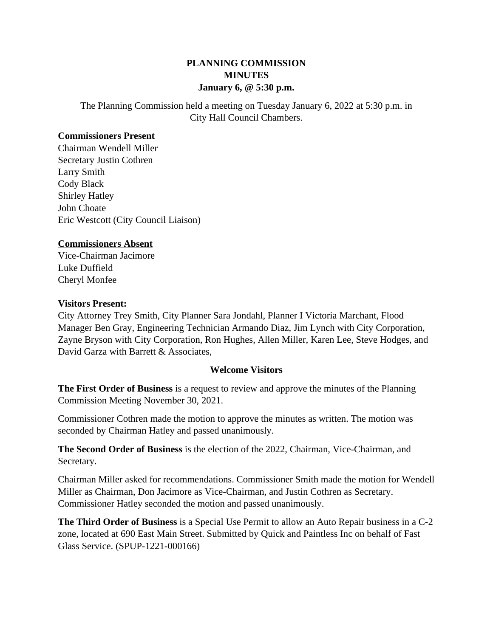# **PLANNING COMMISSION MINUTES January 6, @ 5:30 p.m.**

The Planning Commission held a meeting on Tuesday January 6, 2022 at 5:30 p.m. in City Hall Council Chambers.

### **Commissioners Present**

Chairman Wendell Miller Secretary Justin Cothren Larry Smith Cody Black Shirley Hatley John Choate Eric Westcott (City Council Liaison)

## **Commissioners Absent**

Vice-Chairman Jacimore Luke Duffield Cheryl Monfee

### **Visitors Present:**

City Attorney Trey Smith, City Planner Sara Jondahl, Planner I Victoria Marchant, Flood Manager Ben Gray, Engineering Technician Armando Diaz, Jim Lynch with City Corporation, Zayne Bryson with City Corporation, Ron Hughes, Allen Miller, Karen Lee, Steve Hodges, and David Garza with Barrett & Associates.

## **Welcome Visitors**

**The First Order of Business** is a request to review and approve the minutes of the Planning Commission Meeting November 30, 2021.

Commissioner Cothren made the motion to approve the minutes as written. The motion was seconded by Chairman Hatley and passed unanimously.

**The Second Order of Business** is the election of the 2022, Chairman, Vice-Chairman, and Secretary.

Chairman Miller asked for recommendations. Commissioner Smith made the motion for Wendell Miller as Chairman, Don Jacimore as Vice-Chairman, and Justin Cothren as Secretary. Commissioner Hatley seconded the motion and passed unanimously.

**The Third Order of Business** is a Special Use Permit to allow an Auto Repair business in a C-2 zone, located at 690 East Main Street. Submitted by Quick and Paintless Inc on behalf of Fast Glass Service. (SPUP-1221-000166)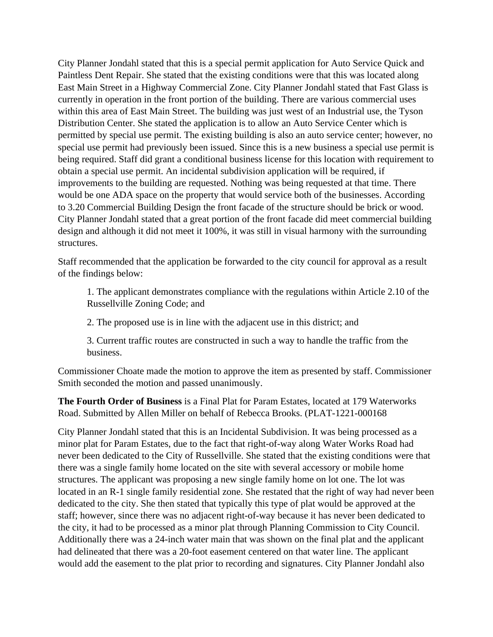City Planner Jondahl stated that this is a special permit application for Auto Service Quick and Paintless Dent Repair. She stated that the existing conditions were that this was located along East Main Street in a Highway Commercial Zone. City Planner Jondahl stated that Fast Glass is currently in operation in the front portion of the building. There are various commercial uses within this area of East Main Street. The building was just west of an Industrial use, the Tyson Distribution Center. She stated the application is to allow an Auto Service Center which is permitted by special use permit. The existing building is also an auto service center; however, no special use permit had previously been issued. Since this is a new business a special use permit is being required. Staff did grant a conditional business license for this location with requirement to obtain a special use permit. An incidental subdivision application will be required, if improvements to the building are requested. Nothing was being requested at that time. There would be one ADA space on the property that would service both of the businesses. According to 3.20 Commercial Building Design the front facade of the structure should be brick or wood. City Planner Jondahl stated that a great portion of the front facade did meet commercial building design and although it did not meet it 100%, it was still in visual harmony with the surrounding structures.

Staff recommended that the application be forwarded to the city council for approval as a result of the findings below:

1. The applicant demonstrates compliance with the regulations within Article 2.10 of the Russellville Zoning Code; and

2. The proposed use is in line with the adjacent use in this district; and

3. Current traffic routes are constructed in such a way to handle the traffic from the business.

Commissioner Choate made the motion to approve the item as presented by staff. Commissioner Smith seconded the motion and passed unanimously.

**The Fourth Order of Business** is a Final Plat for Param Estates, located at 179 Waterworks Road. Submitted by Allen Miller on behalf of Rebecca Brooks. (PLAT-1221-000168

City Planner Jondahl stated that this is an Incidental Subdivision. It was being processed as a minor plat for Param Estates, due to the fact that right-of-way along Water Works Road had never been dedicated to the City of Russellville. She stated that the existing conditions were that there was a single family home located on the site with several accessory or mobile home structures. The applicant was proposing a new single family home on lot one. The lot was located in an R-1 single family residential zone. She restated that the right of way had never been dedicated to the city. She then stated that typically this type of plat would be approved at the staff; however, since there was no adjacent right-of-way because it has never been dedicated to the city, it had to be processed as a minor plat through Planning Commission to City Council. Additionally there was a 24-inch water main that was shown on the final plat and the applicant had delineated that there was a 20-foot easement centered on that water line. The applicant would add the easement to the plat prior to recording and signatures. City Planner Jondahl also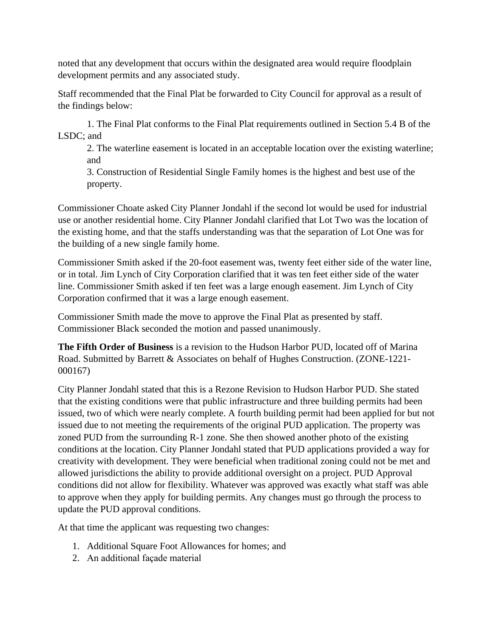noted that any development that occurs within the designated area would require floodplain development permits and any associated study.

Staff recommended that the Final Plat be forwarded to City Council for approval as a result of the findings below:

1. The Final Plat conforms to the Final Plat requirements outlined in Section 5.4 B of the LSDC; and

2. The waterline easement is located in an acceptable location over the existing waterline; and

3. Construction of Residential Single Family homes is the highest and best use of the property.

Commissioner Choate asked City Planner Jondahl if the second lot would be used for industrial use or another residential home. City Planner Jondahl clarified that Lot Two was the location of the existing home, and that the staffs understanding was that the separation of Lot One was for the building of a new single family home.

Commissioner Smith asked if the 20-foot easement was, twenty feet either side of the water line, or in total. Jim Lynch of City Corporation clarified that it was ten feet either side of the water line. Commissioner Smith asked if ten feet was a large enough easement. Jim Lynch of City Corporation confirmed that it was a large enough easement.

Commissioner Smith made the move to approve the Final Plat as presented by staff. Commissioner Black seconded the motion and passed unanimously.

**The Fifth Order of Business** is a revision to the Hudson Harbor PUD, located off of Marina Road. Submitted by Barrett & Associates on behalf of Hughes Construction. (ZONE-1221- 000167)

City Planner Jondahl stated that this is a Rezone Revision to Hudson Harbor PUD. She stated that the existing conditions were that public infrastructure and three building permits had been issued, two of which were nearly complete. A fourth building permit had been applied for but not issued due to not meeting the requirements of the original PUD application. The property was zoned PUD from the surrounding R-1 zone. She then showed another photo of the existing conditions at the location. City Planner Jondahl stated that PUD applications provided a way for creativity with development. They were beneficial when traditional zoning could not be met and allowed jurisdictions the ability to provide additional oversight on a project. PUD Approval conditions did not allow for flexibility. Whatever was approved was exactly what staff was able to approve when they apply for building permits. Any changes must go through the process to update the PUD approval conditions.

At that time the applicant was requesting two changes:

- 1. Additional Square Foot Allowances for homes; and
- 2. An additional façade material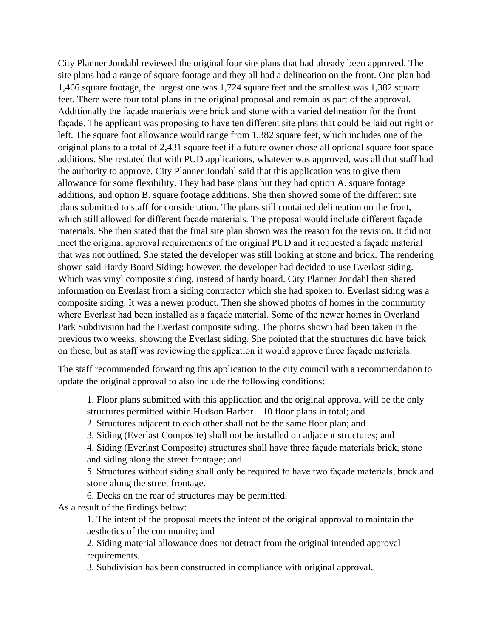City Planner Jondahl reviewed the original four site plans that had already been approved. The site plans had a range of square footage and they all had a delineation on the front. One plan had 1,466 square footage, the largest one was 1,724 square feet and the smallest was 1,382 square feet. There were four total plans in the original proposal and remain as part of the approval. Additionally the façade materials were brick and stone with a varied delineation for the front façade. The applicant was proposing to have ten different site plans that could be laid out right or left. The square foot allowance would range from 1,382 square feet, which includes one of the original plans to a total of 2,431 square feet if a future owner chose all optional square foot space additions. She restated that with PUD applications, whatever was approved, was all that staff had the authority to approve. City Planner Jondahl said that this application was to give them allowance for some flexibility. They had base plans but they had option A. square footage additions, and option B. square footage additions. She then showed some of the different site plans submitted to staff for consideration. The plans still contained delineation on the front, which still allowed for different façade materials. The proposal would include different façade materials. She then stated that the final site plan shown was the reason for the revision. It did not meet the original approval requirements of the original PUD and it requested a façade material that was not outlined. She stated the developer was still looking at stone and brick. The rendering shown said Hardy Board Siding; however, the developer had decided to use Everlast siding. Which was vinyl composite siding, instead of hardy board. City Planner Jondahl then shared information on Everlast from a siding contractor which she had spoken to. Everlast siding was a composite siding. It was a newer product. Then she showed photos of homes in the community where Everlast had been installed as a façade material. Some of the newer homes in Overland Park Subdivision had the Everlast composite siding. The photos shown had been taken in the previous two weeks, showing the Everlast siding. She pointed that the structures did have brick on these, but as staff was reviewing the application it would approve three façade materials.

The staff recommended forwarding this application to the city council with a recommendation to update the original approval to also include the following conditions:

1. Floor plans submitted with this application and the original approval will be the only structures permitted within Hudson Harbor – 10 floor plans in total; and

2. Structures adjacent to each other shall not be the same floor plan; and

3. Siding (Everlast Composite) shall not be installed on adjacent structures; and

4. Siding (Everlast Composite) structures shall have three façade materials brick, stone and siding along the street frontage; and

5. Structures without siding shall only be required to have two façade materials, brick and stone along the street frontage.

6. Decks on the rear of structures may be permitted. As a result of the findings below:

> 1. The intent of the proposal meets the intent of the original approval to maintain the aesthetics of the community; and

2. Siding material allowance does not detract from the original intended approval requirements.

3. Subdivision has been constructed in compliance with original approval.